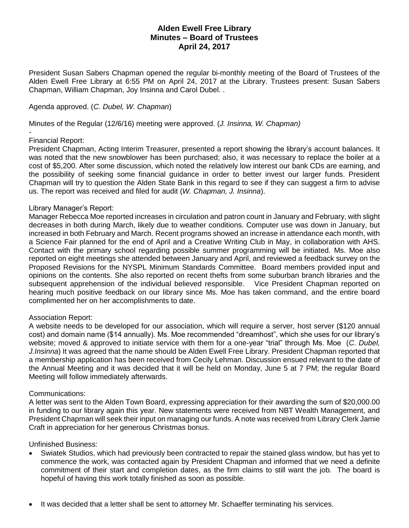# **Alden Ewell Free Library Minutes – Board of Trustees April 24, 2017**

President Susan Sabers Chapman opened the regular bi-monthly meeting of the Board of Trustees of the Alden Ewell Free Library at 6:55 PM on April 24, 2017 at the Library. Trustees present: Susan Sabers Chapman, William Chapman, Joy Insinna and Carol Dubel. .

### Agenda approved. (*C. Dubel, W. Chapman*)

Minutes of the Regular (12/6/16) meeting were approved. (*J. Insinna, W. Chapman)*

#### *-* Financial Report:

President Chapman, Acting Interim Treasurer, presented a report showing the library's account balances. It was noted that the new snowblower has been purchased; also, it was necessary to replace the boiler at a cost of \$5,200. After some discussion, which noted the relatively low interest our bank CDs are earning, and the possibility of seeking some financial guidance in order to better invest our larger funds. President Chapman will try to question the Alden State Bank in this regard to see if they can suggest a firm to advise us. The report was received and filed for audit (*W. Chapman, J. Insinna*).

### Library Manager's Report:

Manager Rebecca Moe reported increases in circulation and patron count in January and February, with slight decreases in both during March, likely due to weather conditions. Computer use was down in January, but increased in both February and March. Recent programs showed an increase in attendance each month, with a Science Fair planned for the end of April and a Creative Writing Club in May, in collaboration with AHS. Contact with the primary school regarding possible summer programming will be initiated. Ms. Moe also reported on eight meetings she attended between January and April, and reviewed a feedback survey on the Proposed Revisions for the NYSPL Minimum Standards Committee. Board members provided input and opinions on the contents. She also reported on recent thefts from some suburban branch libraries and the subsequent apprehension of the individual believed responsible. Vice President Chapman reported on hearing much positive feedback on our library since Ms. Moe has taken command, and the entire board complimented her on her accomplishments to date.

## Association Report:

A website needs to be developed for our association, which will require a server, host server (\$120 annual cost) and domain name (\$14 annually). Ms. Moe recommended "dreamhost", which she uses for our library's website; moved & approved to initiate service with them for a one-year "trial" through Ms. Moe (*C*. *Dubel, J.Insinna*) It was agreed that the name should be Alden Ewell Free Library. President Chapman reported that a membership application has been received from Cecily Lehman. Discussion ensued relevant to the date of the Annual Meeting and it was decided that it will be held on Monday, June 5 at 7 PM; the regular Board Meeting will follow immediately afterwards.

#### Communications:

A letter was sent to the Alden Town Board, expressing appreciation for their awarding the sum of \$20,000.00 in funding to our library again this year. New statements were received from NBT Wealth Management, and President Chapman will seek their input on managing our funds. A note was received from Library Clerk Jamie Craft in appreciation for her generous Christmas bonus.

Unfinished Business:

- Swiatek Studios, which had previously been contracted to repair the stained glass window, but has yet to commence the work, was contacted again by President Chapman and informed that we need a definite commitment of their start and completion dates, as the firm claims to still want the job. The board is hopeful of having this work totally finished as soon as possible.
- It was decided that a letter shall be sent to attorney Mr. Schaeffer terminating his services.